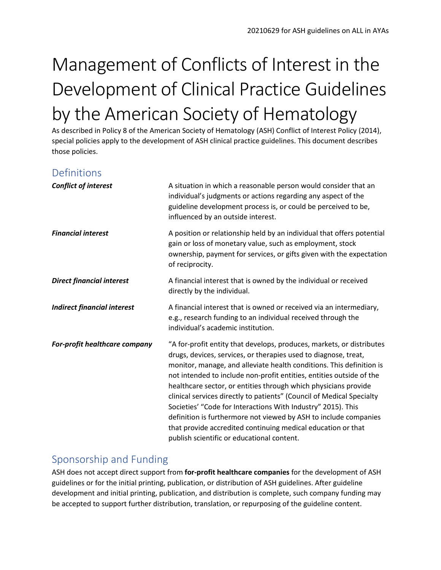# Management of Conflicts of Interest in the Development of Clinical Practice Guidelines by the American Society of Hematology

As described in Policy 8 of the American Society of Hematology (ASH) Conflict of Interest Policy (2014), special policies apply to the development of ASH clinical practice guidelines. This document describes those policies.

## Definitions

| <b>Conflict of interest</b>        | A situation in which a reasonable person would consider that an<br>individual's judgments or actions regarding any aspect of the<br>guideline development process is, or could be perceived to be,<br>influenced by an outside interest.                                                                                                                                                                                                                                                                                                                                                                                                                                               |
|------------------------------------|----------------------------------------------------------------------------------------------------------------------------------------------------------------------------------------------------------------------------------------------------------------------------------------------------------------------------------------------------------------------------------------------------------------------------------------------------------------------------------------------------------------------------------------------------------------------------------------------------------------------------------------------------------------------------------------|
| <b>Financial interest</b>          | A position or relationship held by an individual that offers potential<br>gain or loss of monetary value, such as employment, stock<br>ownership, payment for services, or gifts given with the expectation<br>of reciprocity.                                                                                                                                                                                                                                                                                                                                                                                                                                                         |
| <b>Direct financial interest</b>   | A financial interest that is owned by the individual or received<br>directly by the individual.                                                                                                                                                                                                                                                                                                                                                                                                                                                                                                                                                                                        |
| <b>Indirect financial interest</b> | A financial interest that is owned or received via an intermediary,<br>e.g., research funding to an individual received through the<br>individual's academic institution.                                                                                                                                                                                                                                                                                                                                                                                                                                                                                                              |
| For-profit healthcare company      | "A for-profit entity that develops, produces, markets, or distributes<br>drugs, devices, services, or therapies used to diagnose, treat,<br>monitor, manage, and alleviate health conditions. This definition is<br>not intended to include non-profit entities, entities outside of the<br>healthcare sector, or entities through which physicians provide<br>clinical services directly to patients" (Council of Medical Specialty<br>Societies' "Code for Interactions With Industry" 2015). This<br>definition is furthermore not viewed by ASH to include companies<br>that provide accredited continuing medical education or that<br>publish scientific or educational content. |

### Sponsorship and Funding

ASH does not accept direct support from **for-profit healthcare companies** for the development of ASH guidelines or for the initial printing, publication, or distribution of ASH guidelines. After guideline development and initial printing, publication, and distribution is complete, such company funding may be accepted to support further distribution, translation, or repurposing of the guideline content.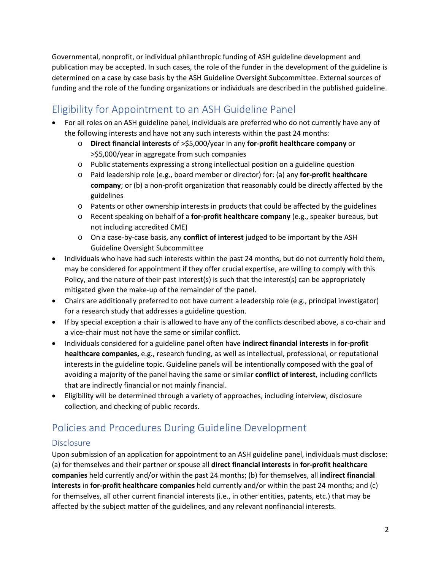Governmental, nonprofit, or individual philanthropic funding of ASH guideline development and publication may be accepted. In such cases, the role of the funder in the development of the guideline is determined on a case by case basis by the ASH Guideline Oversight Subcommittee. External sources of funding and the role of the funding organizations or individuals are described in the published guideline.

## Eligibility for Appointment to an ASH Guideline Panel

- For all roles on an ASH guideline panel, individuals are preferred who do not currently have any of the following interests and have not any such interests within the past 24 months:
	- o **Direct financial interests** of >\$5,000/year in any **for-profit healthcare company** or >\$5,000/year in aggregate from such companies
	- o Public statements expressing a strong intellectual position on a guideline question
	- o Paid leadership role (e.g., board member or director) for: (a) any **for-profit healthcare company**; or (b) a non-profit organization that reasonably could be directly affected by the guidelines
	- o Patents or other ownership interests in products that could be affected by the guidelines
	- o Recent speaking on behalf of a **for-profit healthcare company** (e.g., speaker bureaus, but not including accredited CME)
	- o On a case-by-case basis, any **conflict of interest** judged to be important by the ASH Guideline Oversight Subcommittee
- Individuals who have had such interests within the past 24 months, but do not currently hold them, may be considered for appointment if they offer crucial expertise, are willing to comply with this Policy, and the nature of their past interest(s) is such that the interest(s) can be appropriately mitigated given the make-up of the remainder of the panel.
- Chairs are additionally preferred to not have current a leadership role (e.g., principal investigator) for a research study that addresses a guideline question.
- If by special exception a chair is allowed to have any of the conflicts described above, a co-chair and a vice-chair must not have the same or similar conflict.
- Individuals considered for a guideline panel often have **indirect financial interests** in **for-profit healthcare companies,** e.g., research funding, as well as intellectual, professional, or reputational interests in the guideline topic. Guideline panels will be intentionally composed with the goal of avoiding a majority of the panel having the same or similar **conflict of interest**, including conflicts that are indirectly financial or not mainly financial.
- Eligibility will be determined through a variety of approaches, including interview, disclosure collection, and checking of public records.

## Policies and Procedures During Guideline Development

#### Disclosure

Upon submission of an application for appointment to an ASH guideline panel, individuals must disclose: (a) for themselves and their partner or spouse all **direct financial interests** in **for-profit healthcare companies** held currently and/or within the past 24 months; (b) for themselves, all **indirect financial interests** in **for-profit healthcare companies** held currently and/or within the past 24 months; and (c) for themselves, all other current financial interests (i.e., in other entities, patents, etc.) that may be affected by the subject matter of the guidelines, and any relevant nonfinancial interests.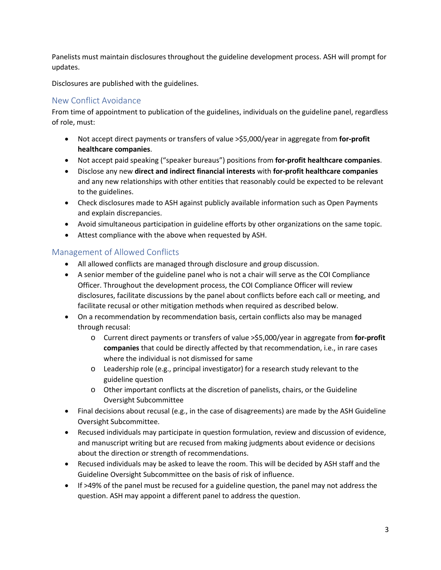Panelists must maintain disclosures throughout the guideline development process. ASH will prompt for updates.

Disclosures are published with the guidelines.

#### New Conflict Avoidance

From time of appointment to publication of the guidelines, individuals on the guideline panel, regardless of role, must:

- Not accept direct payments or transfers of value >\$5,000/year in aggregate from **for-profit healthcare companies**.
- Not accept paid speaking ("speaker bureaus") positions from **for-profit healthcare companies**.
- Disclose any new **direct and indirect financial interests** with **for-profit healthcare companies**  and any new relationships with other entities that reasonably could be expected to be relevant to the guidelines.
- Check disclosures made to ASH against publicly available information such as Open Payments and explain discrepancies.
- Avoid simultaneous participation in guideline efforts by other organizations on the same topic.
- Attest compliance with the above when requested by ASH.

#### Management of Allowed Conflicts

- All allowed conflicts are managed through disclosure and group discussion.
- A senior member of the guideline panel who is not a chair will serve as the COI Compliance Officer. Throughout the development process, the COI Compliance Officer will review disclosures, facilitate discussions by the panel about conflicts before each call or meeting, and facilitate recusal or other mitigation methods when required as described below.
- On a recommendation by recommendation basis, certain conflicts also may be managed through recusal:
	- o Current direct payments or transfers of value >\$5,000/year in aggregate from **for-profit companies** that could be directly affected by that recommendation, i.e., in rare cases where the individual is not dismissed for same
	- o Leadership role (e.g., principal investigator) for a research study relevant to the guideline question
	- o Other important conflicts at the discretion of panelists, chairs, or the Guideline Oversight Subcommittee
- Final decisions about recusal (e.g., in the case of disagreements) are made by the ASH Guideline Oversight Subcommittee.
- Recused individuals may participate in question formulation, review and discussion of evidence, and manuscript writing but are recused from making judgments about evidence or decisions about the direction or strength of recommendations.
- Recused individuals may be asked to leave the room. This will be decided by ASH staff and the Guideline Oversight Subcommittee on the basis of risk of influence.
- If >49% of the panel must be recused for a guideline question, the panel may not address the question. ASH may appoint a different panel to address the question.